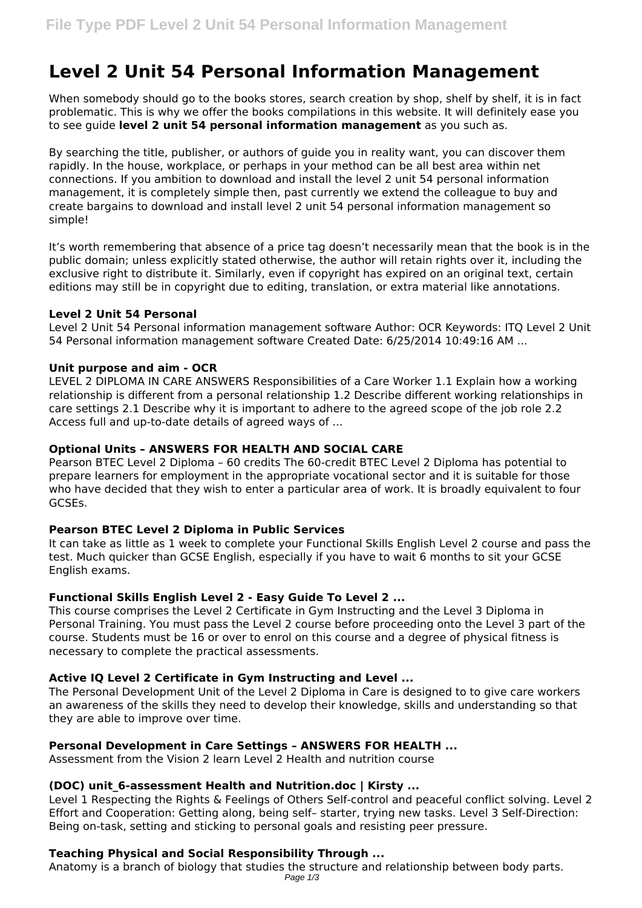# **Level 2 Unit 54 Personal Information Management**

When somebody should go to the books stores, search creation by shop, shelf by shelf, it is in fact problematic. This is why we offer the books compilations in this website. It will definitely ease you to see guide **level 2 unit 54 personal information management** as you such as.

By searching the title, publisher, or authors of guide you in reality want, you can discover them rapidly. In the house, workplace, or perhaps in your method can be all best area within net connections. If you ambition to download and install the level 2 unit 54 personal information management, it is completely simple then, past currently we extend the colleague to buy and create bargains to download and install level 2 unit 54 personal information management so simple!

It's worth remembering that absence of a price tag doesn't necessarily mean that the book is in the public domain; unless explicitly stated otherwise, the author will retain rights over it, including the exclusive right to distribute it. Similarly, even if copyright has expired on an original text, certain editions may still be in copyright due to editing, translation, or extra material like annotations.

## **Level 2 Unit 54 Personal**

Level 2 Unit 54 Personal information management software Author: OCR Keywords: ITQ Level 2 Unit 54 Personal information management software Created Date: 6/25/2014 10:49:16 AM ...

## **Unit purpose and aim - OCR**

LEVEL 2 DIPLOMA IN CARE ANSWERS Responsibilities of a Care Worker 1.1 Explain how a working relationship is different from a personal relationship 1.2 Describe different working relationships in care settings 2.1 Describe why it is important to adhere to the agreed scope of the job role 2.2 Access full and up-to-date details of agreed ways of ...

## **Optional Units – ANSWERS FOR HEALTH AND SOCIAL CARE**

Pearson BTEC Level 2 Diploma – 60 credits The 60-credit BTEC Level 2 Diploma has potential to prepare learners for employment in the appropriate vocational sector and it is suitable for those who have decided that they wish to enter a particular area of work. It is broadly equivalent to four GCSEs.

#### **Pearson BTEC Level 2 Diploma in Public Services**

It can take as little as 1 week to complete your Functional Skills English Level 2 course and pass the test. Much quicker than GCSE English, especially if you have to wait 6 months to sit your GCSE English exams.

# **Functional Skills English Level 2 - Easy Guide To Level 2 ...**

This course comprises the Level 2 Certificate in Gym Instructing and the Level 3 Diploma in Personal Training. You must pass the Level 2 course before proceeding onto the Level 3 part of the course. Students must be 16 or over to enrol on this course and a degree of physical fitness is necessary to complete the practical assessments.

# **Active IQ Level 2 Certificate in Gym Instructing and Level ...**

The Personal Development Unit of the Level 2 Diploma in Care is designed to to give care workers an awareness of the skills they need to develop their knowledge, skills and understanding so that they are able to improve over time.

# **Personal Development in Care Settings – ANSWERS FOR HEALTH ...**

Assessment from the Vision 2 learn Level 2 Health and nutrition course

# **(DOC) unit\_6-assessment Health and Nutrition.doc | Kirsty ...**

Level 1 Respecting the Rights & Feelings of Others Self-control and peaceful conflict solving. Level 2 Effort and Cooperation: Getting along, being self– starter, trying new tasks. Level 3 Self-Direction: Being on-task, setting and sticking to personal goals and resisting peer pressure.

# **Teaching Physical and Social Responsibility Through ...**

Anatomy is a branch of biology that studies the structure and relationship between body parts. Page 1/3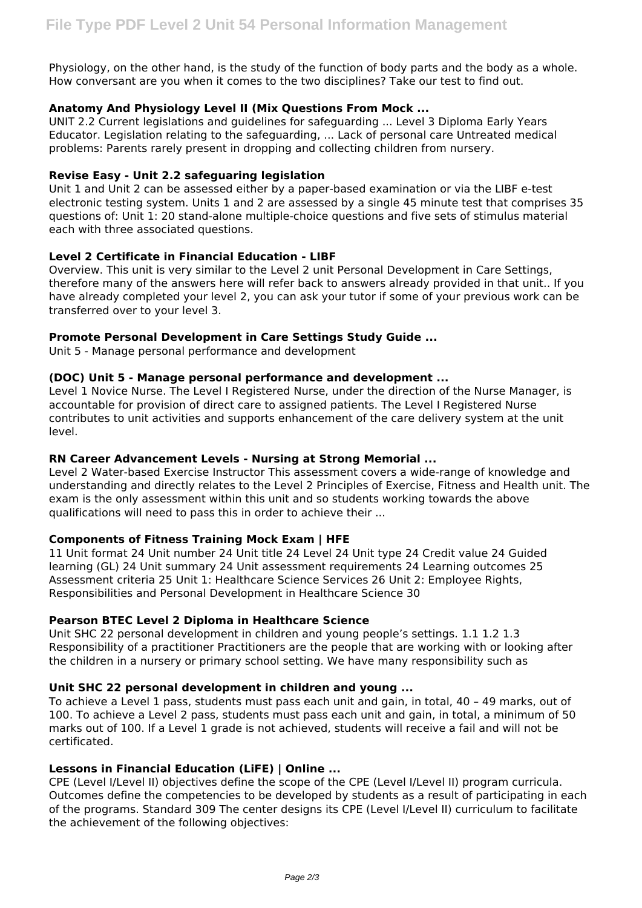Physiology, on the other hand, is the study of the function of body parts and the body as a whole. How conversant are you when it comes to the two disciplines? Take our test to find out.

## **Anatomy And Physiology Level II (Mix Questions From Mock ...**

UNIT 2.2 Current legislations and guidelines for safeguarding ... Level 3 Diploma Early Years Educator. Legislation relating to the safeguarding, ... Lack of personal care Untreated medical problems: Parents rarely present in dropping and collecting children from nursery.

#### **Revise Easy - Unit 2.2 safeguaring legislation**

Unit 1 and Unit 2 can be assessed either by a paper-based examination or via the LIBF e-test electronic testing system. Units 1 and 2 are assessed by a single 45 minute test that comprises 35 questions of: Unit 1: 20 stand-alone multiple-choice questions and five sets of stimulus material each with three associated questions.

## **Level 2 Certificate in Financial Education - LIBF**

Overview. This unit is very similar to the Level 2 unit Personal Development in Care Settings, therefore many of the answers here will refer back to answers already provided in that unit.. If you have already completed your level 2, you can ask your tutor if some of your previous work can be transferred over to your level 3.

## **Promote Personal Development in Care Settings Study Guide ...**

Unit 5 - Manage personal performance and development

#### **(DOC) Unit 5 - Manage personal performance and development ...**

Level 1 Novice Nurse. The Level I Registered Nurse, under the direction of the Nurse Manager, is accountable for provision of direct care to assigned patients. The Level I Registered Nurse contributes to unit activities and supports enhancement of the care delivery system at the unit level.

#### **RN Career Advancement Levels - Nursing at Strong Memorial ...**

Level 2 Water-based Exercise Instructor This assessment covers a wide-range of knowledge and understanding and directly relates to the Level 2 Principles of Exercise, Fitness and Health unit. The exam is the only assessment within this unit and so students working towards the above qualifications will need to pass this in order to achieve their ...

# **Components of Fitness Training Mock Exam | HFE**

11 Unit format 24 Unit number 24 Unit title 24 Level 24 Unit type 24 Credit value 24 Guided learning (GL) 24 Unit summary 24 Unit assessment requirements 24 Learning outcomes 25 Assessment criteria 25 Unit 1: Healthcare Science Services 26 Unit 2: Employee Rights, Responsibilities and Personal Development in Healthcare Science 30

# **Pearson BTEC Level 2 Diploma in Healthcare Science**

Unit SHC 22 personal development in children and young people's settings. 1.1 1.2 1.3 Responsibility of a practitioner Practitioners are the people that are working with or looking after the children in a nursery or primary school setting. We have many responsibility such as

#### **Unit SHC 22 personal development in children and young ...**

To achieve a Level 1 pass, students must pass each unit and gain, in total, 40 – 49 marks, out of 100. To achieve a Level 2 pass, students must pass each unit and gain, in total, a minimum of 50 marks out of 100. If a Level 1 grade is not achieved, students will receive a fail and will not be certificated.

#### **Lessons in Financial Education (LiFE) | Online ...**

CPE (Level I/Level II) objectives define the scope of the CPE (Level I/Level II) program curricula. Outcomes define the competencies to be developed by students as a result of participating in each of the programs. Standard 309 The center designs its CPE (Level I/Level II) curriculum to facilitate the achievement of the following objectives: